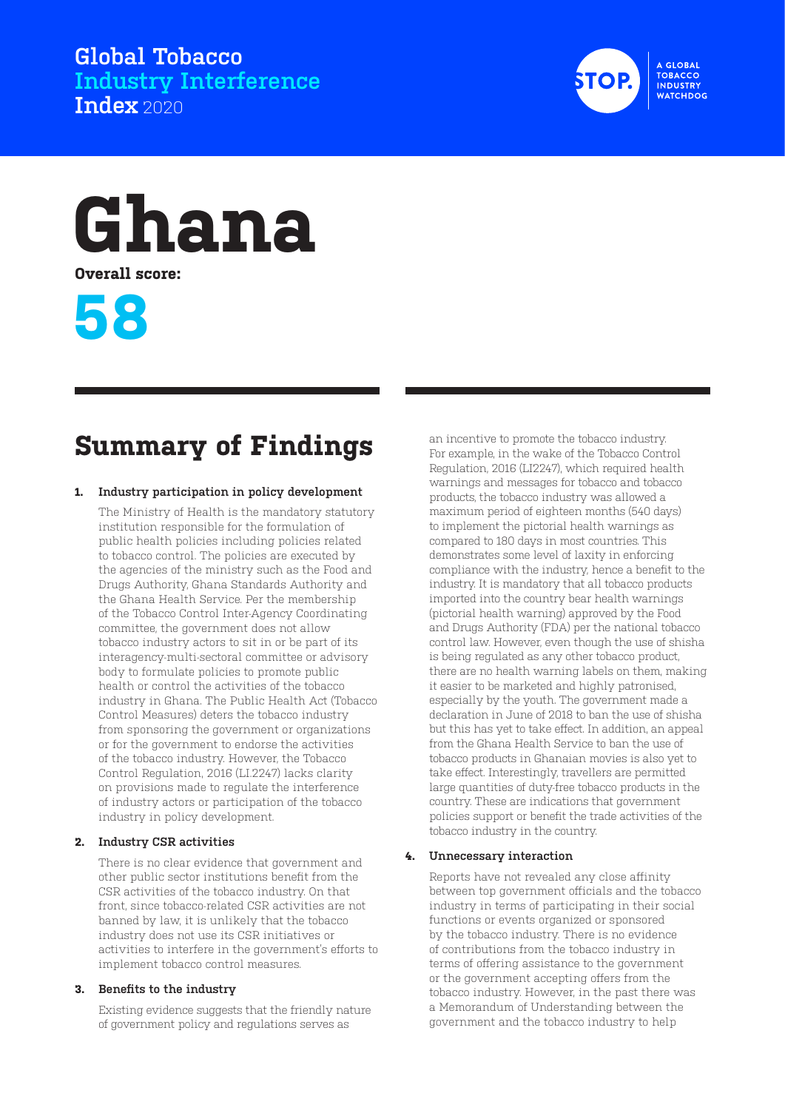**Global Tobacco Industry Interference Index** 2020



# **Ghana**

**Overall score:**

## **58**

## **Summary of Findings**

#### **1. Industry participation in policy development**

The Ministry of Health is the mandatory statutory institution responsible for the formulation of public health policies including policies related to tobacco control. The policies are executed by the agencies of the ministry such as the Food and Drugs Authority, Ghana Standards Authority and the Ghana Health Service. Per the membership of the Tobacco Control Inter-Agency Coordinating committee, the government does not allow tobacco industry actors to sit in or be part of its interagency-multi-sectoral committee or advisory body to formulate policies to promote public health or control the activities of the tobacco industry in Ghana. The Public Health Act (Tobacco Control Measures) deters the tobacco industry from sponsoring the government or organizations or for the government to endorse the activities of the tobacco industry. However, the Tobacco Control Regulation, 2016 (LI.2247) lacks clarity on provisions made to regulate the interference of industry actors or participation of the tobacco industry in policy development.

#### **2. Industry CSR activities**

There is no clear evidence that government and other public sector institutions benefit from the CSR activities of the tobacco industry. On that front, since tobacco-related CSR activities are not banned by law, it is unlikely that the tobacco industry does not use its CSR initiatives or activities to interfere in the government's efforts to implement tobacco control measures.

#### **3. Benefits to the industry**

Existing evidence suggests that the friendly nature of government policy and regulations serves as

an incentive to promote the tobacco industry. For example, in the wake of the Tobacco Control Regulation, 2016 (LI2247), which required health warnings and messages for tobacco and tobacco products, the tobacco industry was allowed a maximum period of eighteen months (540 days) to implement the pictorial health warnings as compared to 180 days in most countries. This demonstrates some level of laxity in enforcing compliance with the industry, hence a benefit to the industry. It is mandatory that all tobacco products imported into the country bear health warnings (pictorial health warning) approved by the Food and Drugs Authority (FDA) per the national tobacco control law. However, even though the use of shisha is being regulated as any other tobacco product, there are no health warning labels on them, making it easier to be marketed and highly patronised, especially by the youth. The government made a declaration in June of 2018 to ban the use of shisha but this has yet to take effect. In addition, an appeal from the Ghana Health Service to ban the use of tobacco products in Ghanaian movies is also yet to take effect. Interestingly, travellers are permitted large quantities of duty-free tobacco products in the country. These are indications that government policies support or benefit the trade activities of the tobacco industry in the country.

#### **4. Unnecessary interaction**

Reports have not revealed any close affinity between top government officials and the tobacco industry in terms of participating in their social functions or events organized or sponsored by the tobacco industry. There is no evidence of contributions from the tobacco industry in terms of offering assistance to the government or the government accepting offers from the tobacco industry. However, in the past there was a Memorandum of Understanding between the government and the tobacco industry to help